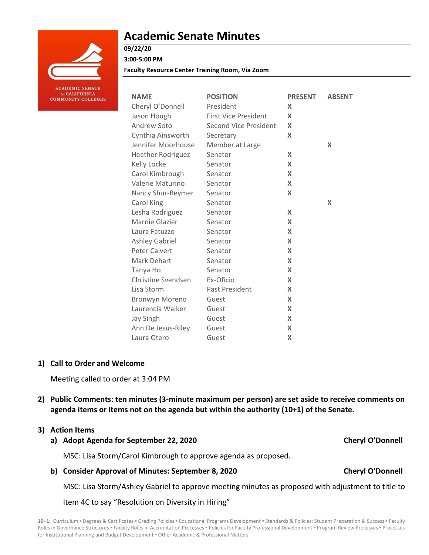

# **Academic Senate Minutes**

# **09/22/20**

**3:00-5:00 PM**

**Faculty Resource Center Training Room, Via Zoom**

| <b>NAME</b>               | <b>POSITION</b>              | <b>PRESENT</b> | <b>ABSENT</b> |
|---------------------------|------------------------------|----------------|---------------|
| Cheryl O'Donnell          | President                    | X              |               |
| Jason Hough               | <b>First Vice President</b>  | X              |               |
| Andrew Soto               | <b>Second Vice President</b> | X              |               |
| Cynthia Ainsworth         | Secretary                    | X              |               |
| Jennifer Moorhouse        | Member at Large              |                | X             |
| Heather Rodriguez         | Senator                      | X              |               |
| Kelly Locke               | Senator                      | X              |               |
| Carol Kimbrough           | Senator                      | X              |               |
| Valerie Maturino          | Senator                      | X              |               |
| Nancy Shur-Beymer         | Senator                      | X              |               |
| Carol King                | Senator                      |                | X             |
| Lesha Rodriguez           | Senator                      | X              |               |
| Marnie Glazier            | Senator                      | $\mathsf{x}$   |               |
| Laura Fatuzzo             | Senator                      | X              |               |
| <b>Ashley Gabriel</b>     | Senator                      | X              |               |
| <b>Peter Calvert</b>      | Senator                      | X              |               |
| Mark Dehart               | Senator                      | X              |               |
| Tanya Ho                  | Senator                      | X              |               |
| <b>Christine Svendsen</b> | Ex-Oficio                    | X              |               |
| Lisa Storm                | Past President               | X              |               |
| Bronwyn Moreno            | Guest                        | $\mathsf{x}$   |               |
| Laurencia Walker          | Guest                        | X              |               |
| Jay Singh                 | Guest                        | X              |               |
| Ann De Jesus-Riley        | Guest                        | X              |               |
| Laura Otero               | Guest                        | X              |               |

# **1) Call to Order and Welcome**

Meeting called to order at 3:04 PM

**2) Public Comments: ten minutes (3-minute maximum per person) are set aside to receive comments on agenda items or items not on the agenda but within the authority (10+1) of the Senate.**

# **3) Action Items**

**a) Adopt Agenda for September 22, 2020 Cheryl O'Donnell**

MSC: Lisa Storm/Carol Kimbrough to approve agenda as proposed.

**b) Consider Approval of Minutes: September 8, 2020 Cheryl O'Donnell**

MSC: Lisa Storm/Ashley Gabriel to approve meeting minutes as proposed with adjustment to title to

Item 4C to say "Resolution on Diversity in Hiring"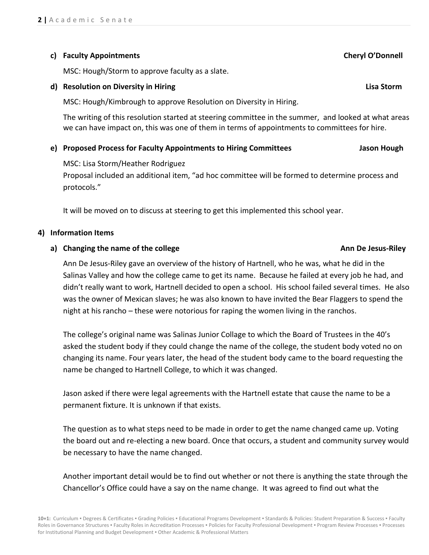# **c) Faculty Appointments Cheryl O'Donnell**

MSC: Hough/Storm to approve faculty as a slate.

# **d) Resolution on Diversity in Hiring Lisa Storm**

MSC: Hough/Kimbrough to approve Resolution on Diversity in Hiring.

The writing of this resolution started at steering committee in the summer, and looked at what areas we can have impact on, this was one of them in terms of appointments to committees for hire.

# **e) Proposed Process for Faculty Appointments to Hiring Committees Jason Hough**

MSC: Lisa Storm/Heather Rodriguez

Proposal included an additional item, "ad hoc committee will be formed to determine process and protocols."

It will be moved on to discuss at steering to get this implemented this school year.

# **4) Information Items**

# **a)** Changing the name of the college **Annual State of the college Annual State** *Annual* **Annual Annual Annual State** *Annual* **Annual State** *Annual* **Annual State** *Annual* **Annual State** *Annual* **Annual State** *Annual* **Annual**

Ann De Jesus-Riley gave an overview of the history of Hartnell, who he was, what he did in the Salinas Valley and how the college came to get its name. Because he failed at every job he had, and didn't really want to work, Hartnell decided to open a school. His school failed several times. He also was the owner of Mexican slaves; he was also known to have invited the Bear Flaggers to spend the night at his rancho – these were notorious for raping the women living in the ranchos.

The college's original name was Salinas Junior Collage to which the Board of Trustees in the 40's asked the student body if they could change the name of the college, the student body voted no on changing its name. Four years later, the head of the student body came to the board requesting the name be changed to Hartnell College, to which it was changed.

Jason asked if there were legal agreements with the Hartnell estate that cause the name to be a permanent fixture. It is unknown if that exists.

The question as to what steps need to be made in order to get the name changed came up. Voting the board out and re-electing a new board. Once that occurs, a student and community survey would be necessary to have the name changed.

Another important detail would be to find out whether or not there is anything the state through the Chancellor's Office could have a say on the name change. It was agreed to find out what the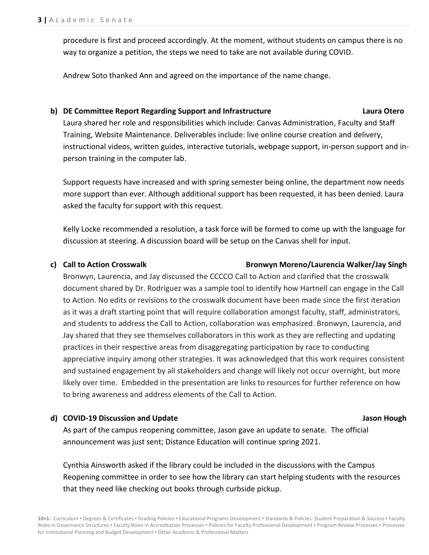procedure is first and proceed accordingly. At the moment, without students on campus there is no way to organize a petition, the steps we need to take are not available during COVID.

Andrew Soto thanked Ann and agreed on the importance of the name change.

## **b) DE Committee Report Regarding Support and Infrastructure Laura Otero**

Laura shared her role and responsibilities which include: Canvas Administration, Faculty and Staff Training, Website Maintenance. Deliverables include: live online course creation and delivery, instructional videos, written guides, interactive tutorials, webpage support, in-person support and inperson training in the computer lab.

Support requests have increased and with spring semester being online, the department now needs more support than ever. Although additional support has been requested, it has been denied. Laura asked the faculty for support with this request.

Kelly Locke recommended a resolution, a task force will be formed to come up with the language for discussion at steering. A discussion board will be setup on the Canvas shell for input.

### **c) Call to Action Crosswalk Bronwyn Moreno/Laurencia Walker/Jay Singh**

Bronwyn, Laurencia, and Jay discussed the CCCCO Call to Action and clarified that the crosswalk document shared by Dr. Rodriguez was a sample tool to identify how Hartnell can engage in the Call to Action. No edits or revisions to the crosswalk document have been made since the first iteration as it was a draft starting point that will require collaboration amongst faculty, staff, administrators, and students to address the Call to Action, collaboration was emphasized. Bronwyn, Laurencia, and Jay shared that they see themselves collaborators in this work as they are reflecting and updating practices in their respective areas from disaggregating participation by race to conducting appreciative inquiry among other strategies. It was acknowledged that this work requires consistent and sustained engagement by all stakeholders and change will likely not occur overnight, but more likely over time. Embedded in the presentation are links to resources for further reference on how to bring awareness and address elements of the Call to Action.

# **d) COVID-19 Discussion and Update Jason Hough**

As part of the campus reopening committee, Jason gave an update to senate. The official announcement was just sent; Distance Education will continue spring 2021.

Cynthia Ainsworth asked if the library could be included in the discussions with the Campus Reopening committee in order to see how the library can start helping students with the resources that they need like checking out books through curbside pickup.